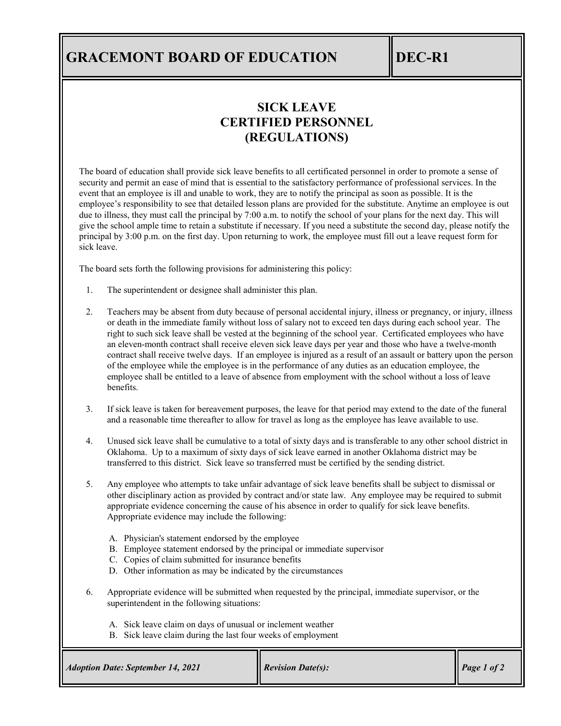## **GRACEMONT BOARD OF EDUCATION DEC-R1**

## **SICK LEAVE CERTIFIED PERSONNEL (REGULATIONS)**

The board of education shall provide sick leave benefits to all certificated personnel in order to promote a sense of security and permit an ease of mind that is essential to the satisfactory performance of professional services. In the event that an employee is ill and unable to work, they are to notify the principal as soon as possible. It is the employee's responsibility to see that detailed lesson plans are provided for the substitute. Anytime an employee is out due to illness, they must call the principal by 7:00 a.m. to notify the school of your plans for the next day. This will give the school ample time to retain a substitute if necessary. If you need a substitute the second day, please notify the principal by 3:00 p.m. on the first day. Upon returning to work, the employee must fill out a leave request form for sick leave.

The board sets forth the following provisions for administering this policy:

- 1. The superintendent or designee shall administer this plan.
- 2. Teachers may be absent from duty because of personal accidental injury, illness or pregnancy, or injury, illness or death in the immediate family without loss of salary not to exceed ten days during each school year. The right to such sick leave shall be vested at the beginning of the school year. Certificated employees who have an eleven-month contract shall receive eleven sick leave days per year and those who have a twelve-month contract shall receive twelve days. If an employee is injured as a result of an assault or battery upon the person of the employee while the employee is in the performance of any duties as an education employee, the employee shall be entitled to a leave of absence from employment with the school without a loss of leave benefits.
- 3. If sick leave is taken for bereavement purposes, the leave for that period may extend to the date of the funeral and a reasonable time thereafter to allow for travel as long as the employee has leave available to use.
- 4. Unused sick leave shall be cumulative to a total of sixty days and is transferable to any other school district in Oklahoma. Up to a maximum of sixty days of sick leave earned in another Oklahoma district may be transferred to this district. Sick leave so transferred must be certified by the sending district.
- 5. Any employee who attempts to take unfair advantage of sick leave benefits shall be subject to dismissal or other disciplinary action as provided by contract and/or state law. Any employee may be required to submit appropriate evidence concerning the cause of his absence in order to qualify for sick leave benefits. Appropriate evidence may include the following:
	- A. Physician's statement endorsed by the employee
	- B. Employee statement endorsed by the principal or immediate supervisor
	- C. Copies of claim submitted for insurance benefits
	- D. Other information as may be indicated by the circumstances
- 6. Appropriate evidence will be submitted when requested by the principal, immediate supervisor, or the superintendent in the following situations:
	- A. Sick leave claim on days of unusual or inclement weather
	- B. Sick leave claim during the last four weeks of employment

| <b>Adoption Date: September 14, 2021</b> | <b>Revision Date(s):</b> | $\vert$ Page 1 of 2 |
|------------------------------------------|--------------------------|---------------------|
|------------------------------------------|--------------------------|---------------------|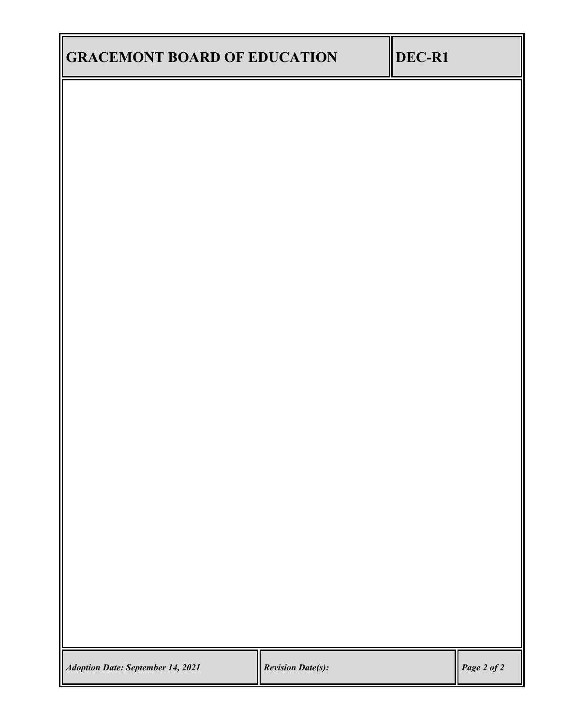| <b>GRACEMONT BOARD OF EDUCATION</b> |                          | DEC-R1 |                     |
|-------------------------------------|--------------------------|--------|---------------------|
|                                     |                          |        |                     |
|                                     |                          |        |                     |
|                                     |                          |        |                     |
|                                     |                          |        |                     |
|                                     |                          |        |                     |
|                                     |                          |        |                     |
|                                     |                          |        |                     |
|                                     |                          |        |                     |
|                                     |                          |        |                     |
|                                     |                          |        |                     |
|                                     |                          |        |                     |
|                                     |                          |        |                     |
|                                     |                          |        |                     |
| Adoption Date: September 14, 2021   | <b>Revision Date(s):</b> |        | $\vert$ Page 2 of 2 |